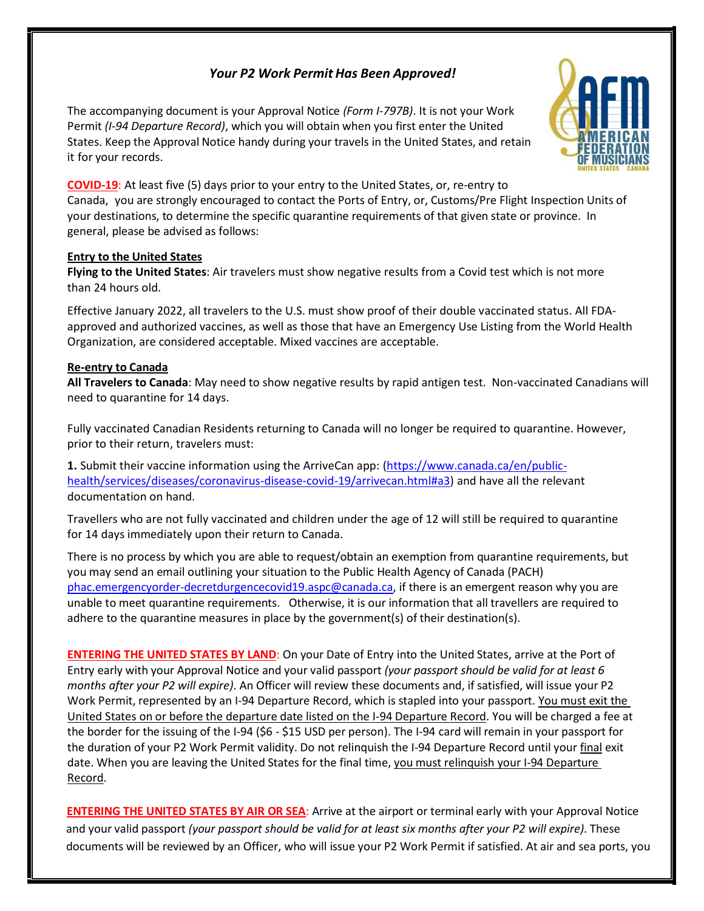# *Your P2 Work Permit Has Been Approved!*

The accompanying document is your Approval Notice *(Form I-797B)*. It is not your Work Permit *(I-94 Departure Record)*, which you will obtain when you first enter the United States. Keep the Approval Notice handy during your travels in the United States, and retain it for your records.



**COVID-19**: At least five (5) days prior to your entry to the United States, or, re-entry to Canada, you are strongly encouraged to contact the Ports of Entry, or, Customs/Pre Flight Inspection Units of your destinations, to determine the specific quarantine requirements of that given state or province. In general, please be advised as follows:

### **Entry to the United States**

**Flying to the United States**: Air travelers must show negative results from a Covid test which is not more than 24 hours old.

Effective January 2022, all travelers to the U.S. must show proof of their double vaccinated status. All FDAapproved and authorized vaccines, as well as those that have an Emergency Use Listing from the World Health Organization, are considered acceptable. Mixed vaccines are acceptable.

## **Re-entry to Canada**

**All Travelers to Canada**: May need to show negative results by rapid antigen test. Non-vaccinated Canadians will need to quarantine for 14 days.

Fully vaccinated Canadian Residents returning to Canada will no longer be required to quarantine. However, prior to their return, travelers must:

1. Submit their vaccine information using the ArriveCan app: [\(https://www.canada.ca/en/public](https://www.canada.ca/en/public-health/services/diseases/coronavirus-disease-covid-19/arrivecan.html#a3)[health/services/diseases/coronavirus-disease-covid-19/arrivecan.html#a3\)](https://www.canada.ca/en/public-health/services/diseases/coronavirus-disease-covid-19/arrivecan.html#a3) and have all the relevant documentation on hand.

Travellers who are not fully vaccinated and children under the age of 12 will still be required to quarantine for 14 days immediately upon their return to Canada.

There is no process by which you are able to request/obtain an exemption from quarantine requirements, but you may send an email outlining your situation to the Public Health Agency of Canada (PACH) [phac.emergencyorder-decretdurgencecovid19.aspc@canada.ca,](mailto:phac.emergencyorder-decretdurgencecovid19.aspc@canada.ca) if there is an emergent reason why you are unable to meet quarantine requirements. Otherwise, it is our information that all travellers are required to adhere to the quarantine measures in place by the government(s) of their destination(s).

**ENTERING THE UNITED STATES BY LAND**: On your Date of Entry into the United States, arrive at the Port of Entry early with your Approval Notice and your valid passport *(your passport should be valid for at least 6 months after your P2 will expire)*. An Officer will review these documents and, if satisfied, will issue your P2 Work Permit, represented by an I-94 Departure Record, which is stapled into your passport. You must exit the United States on or before the departure date listed on the I-94 Departure Record. You will be charged a fee at the border for the issuing of the I-94 (\$6 - \$15 USD per person). The I-94 card will remain in your passport for the duration of your P2 Work Permit validity. Do not relinquish the I-94 Departure Record until your final exit date. When you are leaving the United States for the final time, you must relinquish your I-94 Departure Record.

 **ENTERING THE UNITED STATES BY AIR OR SEA**: Arrive at the airport or terminal early with your Approval Notice and your valid passport *(your passport should be valid for at least six months after your P2 will expire)*. These documents will be reviewed by an Officer, who will issue your P2 Work Permit if satisfied. At air and sea ports, you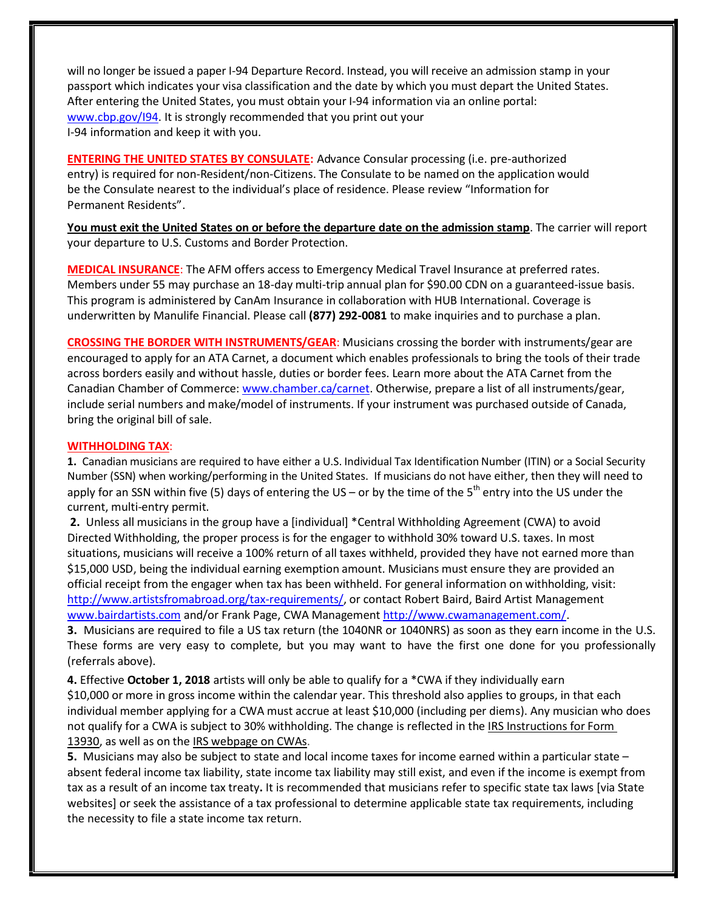will no longer be issued a paper I-94 Departure Record. Instead, you will receive an admission stamp in your passport which indicates your visa classification and the date by which you must depart the United States. After entering the United States, you must obtain your I-94 information via an online portal: [www.cbp.gov/I94.](http://www.cbp.gov/I94) It is strongly recommended that you print out your I-94 information and keep it with you.

**ENTERING THE UNITED STATES BY CONSULATE:** Advance Consular processing (i.e. pre-authorized entry) is required for non-Resident/non-Citizens. The Consulate to be named on the application would be the Consulate nearest to the individual's place of residence. Please review "Information for Permanent Residents".

**You must exit the United States on or before the departure date on the admission stamp**. The carrier will report your departure to U.S. Customs and Border Protection.

**MEDICAL INSURANCE**: The AFM offers access to Emergency Medical Travel Insurance at preferred rates. Members under 55 may purchase an 18-day multi-trip annual plan for \$90.00 CDN on a guaranteed-issue basis. This program is administered by CanAm Insurance in collaboration with HUB International. Coverage is underwritten by Manulife Financial. Please call **(877) 292-0081** to make inquiries and to purchase a plan.

**CROSSING THE BORDER WITH INSTRUMENTS/GEAR**: Musicians crossing the border with instruments/gear are encouraged to apply for an ATA Carnet, a document which enables professionals to bring the tools of their trade across borders easily and without hassle, duties or border fees. Learn more about the ATA Carnet from the Canadian Chamber of Commerce[: www.chamber.ca/carnet.](http://www.chamber.ca/carnet) Otherwise, prepare a list of all instruments/gear, include serial numbers and make/model of instruments. If your instrument was purchased outside of Canada, bring the original bill of sale.

#### **WITHHOLDING TAX**:

**1.** Canadian musicians are required to have either a U.S. Individual Tax Identification Number (ITIN) or a Social Security Number (SSN) when working/performing in the United States. If musicians do not have either, then they will need to apply for an SSN within five (5) days of entering the US – or by the time of the 5<sup>th</sup> entry into the US under the current, multi-entry permit.

**2.** Unless all musicians in the group have a [individual] \*Central Withholding Agreement (CWA) to avoid Directed Withholding, the proper process is for the engager to withhold 30% toward U.S. taxes. In most situations, musicians will receive a 100% return of all taxes withheld, provided they have not earned more than \$15,000 USD, being the individual earning exemption amount. Musicians must ensure they are provided an official receipt from the engager when tax has been withheld. For general information on withholding, visit: [http://www.artistsfromabroad.org/tax-requirements/,](http://www.artistsfromabroad.org/tax-requirements/) or contact Robert Baird, Baird Artist Management [www.bairdartists.com](http://www.bairdartists.com/) and/or Frank Page, CWA Management [http://www.cwamanagement.com/.](http://www.cwamanagement.com/)

**3.** Musicians are required to file a US tax return (the 1040NR or 1040NRS) as soon as they earn income in the U.S. These forms are very easy to complete, but you may want to have the first one done for you professionally (referrals above).

**4.** Effective **October 1, 2018** artists will only be able to qualify for a \*CWA if they individually earn \$10,000 or more in gross income within the calendar year. This threshold also applies to groups, in that each individual member applying for a CWA must accrue at least \$10,000 (including per diems). Any musician who does not qualify for a CWA is subject to 30% withholding. The change is reflected in the [IRS Instructions](https://www.irs.gov/pub/irs-pdf/f13930.pdf) for Form [13930,](https://www.irs.gov/pub/irs-pdf/f13930.pdf) as well as on the IRS [webpage](https://www.irs.gov/individuals/international-taxpayers/central-withholding-agreements) on CWAs.

**5.** Musicians may also be subject to state and local income taxes for income earned within a particular state – absent federal income tax liability, state income tax liability may still exist, and even if the income is exempt from tax as a result of an income tax treaty**.** It is recommended that musicians refer to specific state tax laws [via State websites] or seek the assistance of a tax professional to determine applicable state tax requirements, including the necessity to file a state income tax return.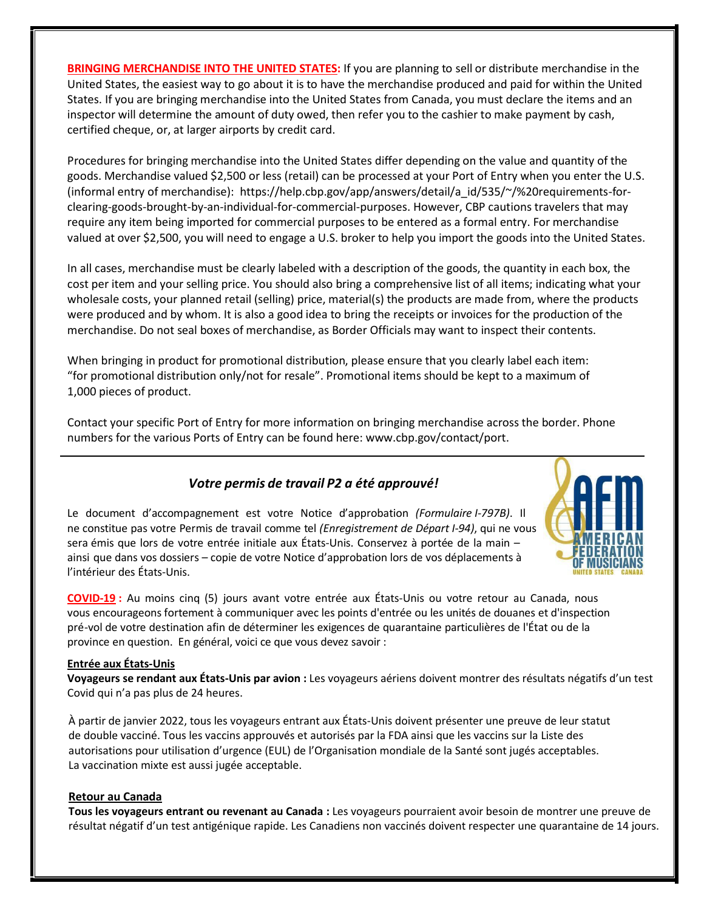**BRINGING MERCHANDISE INTO THE UNITED STATES:** If you are planning to sell or distribute merchandise in the United States, the easiest way to go about it is to have the merchandise produced and paid for within the United States. If you are bringing merchandise into the United States from Canada, you must declare the items and an inspector will determine the amount of duty owed, then refer you to the cashier to make payment by cash, certified cheque, or, at larger airports by credit card.

Procedures for bringing merchandise into the United States differ depending on the value and quantity of the goods. Merchandise valued \$2,500 or less (retail) can be processed at your Port of Entry when you enter the U.S. (informal entry of merchandise): https://help.cbp.gov/app/answers/detail/a\_id/535/~/%20requirements-forclearing-goods-brought-by-an-individual-for-commercial-purposes. However, CBP cautions travelers that may require any item being imported for commercial purposes to be entered as a formal entry. For merchandise valued at over \$2,500, you will need to engage a U.S. broker to help you import the goods into the United States.

In all cases, merchandise must be clearly labeled with a description of the goods, the quantity in each box, the cost per item and your selling price. You should also bring a comprehensive list of all items; indicating what your wholesale costs, your planned retail (selling) price, material(s) the products are made from, where the products were produced and by whom. It is also a good idea to bring the receipts or invoices for the production of the merchandise. Do not seal boxes of merchandise, as Border Officials may want to inspect their contents.

When bringing in product for promotional distribution, please ensure that you clearly label each item: "for promotional distribution only/not for resale". Promotional items should be kept to a maximum of 1,000 pieces of product.

Contact your specific Port of Entry for more information on bringing merchandise across the border. Phone numbers for the various Ports of Entry can be found here: [www.cbp.gov/contact/port.](http://www.cbp.gov/contact/port)

# *Votre permis de travail P2 a été approuvé!*

Le document d'accompagnement est votre Notice d'approbation *(Formulaire I-797B)*. Il ne constitue pas votre Permis de travail comme tel *(Enregistrement de Départ I-94)*, qui ne vous sera émis que lors de votre entrée initiale aux États-Unis. Conservez à portée de la main – ainsi que dans vos dossiers – copie de votre Notice d'approbation lors de vos déplacements à l'intérieur des États-Unis.



**COVID-19 :** Au moins cinq (5) jours avant votre entrée aux États-Unis ou votre retour au Canada, nous vous encourageons fortement à communiquer avec les points d'entrée ou les unités de douanes et d'inspection pré-vol de votre destination afin de déterminer les exigences de quarantaine particulières de l'État ou de la province en question. En général, voici ce que vous devez savoir :

### **Entrée aux États-Unis**

**Voyageurs se rendant aux États-Unis par avion :** Les voyageurs aériens doivent montrer des résultats négatifs d'un test Covid qui n'a pas plus de 24 heures.

À partir de janvier 2022, tous les voyageurs entrant aux États-Unis doivent présenter une preuve de leur statut de double vacciné. Tous les vaccins approuvés et autorisés par la FDA ainsi que les vaccins sur la Liste des autorisations pour utilisation d'urgence (EUL) de l'Organisation mondiale de la Santé sont jugés acceptables. La vaccination mixte est aussi jugée acceptable.

### **Retour au Canada**

**Tous les voyageurs entrant ou revenant au Canada :** Les voyageurs pourraient avoir besoin de montrer une preuve de résultat négatif d'un test antigénique rapide. Les Canadiens non vaccinés doivent respecter une quarantaine de 14 jours.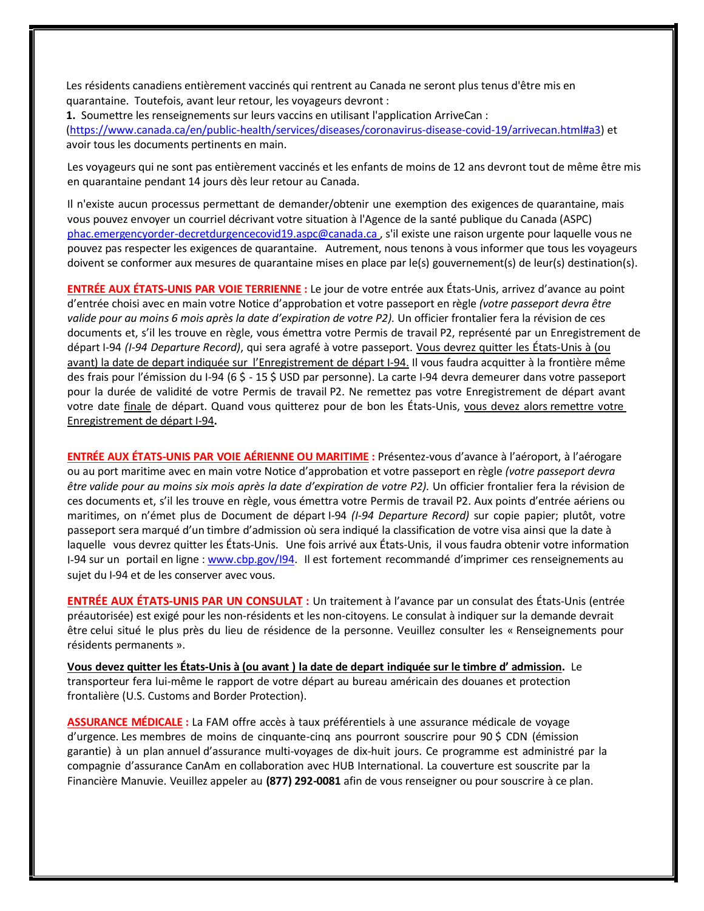Les résidents canadiens entièrement vaccinés qui rentrent au Canada ne seront plus tenus d'être mis en quarantaine. Toutefois, avant leur retour, les voyageurs devront :

**1.** Soumettre les renseignements sur leurs vaccins en utilisant l'application ArriveCan : [\(https://www.canada.ca/en/public-health/services/diseases/coronavirus-disease-covid-19/arrivecan.html#a3\)](https://www.canada.ca/en/public-health/services/diseases/coronavirus-disease-covid-19/arrivecan.html#a3) et avoir tous les documents pertinents en main.

Les voyageurs qui ne sont pas entièrement vaccinés et les enfants de moins de 12 ans devront tout de même être mis en quarantaine pendant 14 jours dès leur retour au Canada.

Il n'existe aucun processus permettant de demander/obtenir une exemption des exigences de quarantaine, mais vous pouvez envoyer un courriel décrivant votre situation à l'Agence de la santé publique du Canada (ASPC) [phac.emergencyorder-decretdurgencecovid19.aspc@canada.ca](mailto:phac.emergencyorder-decretdurgencecovid19.aspc@canada.ca) , s'il existe une raison urgente pour laquelle vous ne pouvez pas respecter les exigences de quarantaine. Autrement, nous tenons à vous informer que tous les voyageurs doivent se conformer aux mesures de quarantaine mises en place par le(s) gouvernement(s) de leur(s) destination(s).

**ENTRÉE AUX ÉTATS-UNIS PAR VOIE TERRIENNE :** Le jour de votre entrée aux États-Unis, arrivez d'avance au point d'entrée choisi avec en main votre Notice d'approbation et votre passeport en règle *(votre passeport devra être valide pour au moins 6 mois après la date d'expiration de votre P2).* Un officier frontalier fera la révision de ces documents et, s'il les trouve en règle, vous émettra votre Permis de travail P2, représenté par un Enregistrement de départ I-94 *(I-94 Departure Record)*, qui sera agrafé à votre passeport. Vous devrez quitter les États-Unis à (ou avant) la date de depart indiquée sur l'Enregistrement de départ I-94. Il vous faudra acquitter à la frontière même des frais pour l'émission du I-94 (6 \$ - 15 \$ USD par personne). La carte I-94 devra demeurer dans votre passeport pour la durée de validité de votre Permis de travail P2. Ne remettez pas votre Enregistrement de départ avant votre date finale de départ. Quand vous quitterez pour de bon les États-Unis, vous devez alors remettre votre Enregistrement de départ I-94**.**

**ENTRÉE AUX ÉTATS-UNIS PAR VOIE AÉRIENNE OU MARITIME :** Présentez-vous d'avance à l'aéroport, à l'aérogare ou au port maritime avec en main votre Notice d'approbation et votre passeport en règle *(votre passeport devra être valide pour au moins six mois après la date d'expiration de votre P2).* Un officier frontalier fera la révision de ces documents et, s'il les trouve en règle, vous émettra votre Permis de travail P2. Aux points d'entrée aériens ou maritimes, on n'émet plus de Document de départ I-94 *(I-94 Departure Record)* sur copie papier; plutôt, votre passeport sera marqué d'un timbre d'admission où sera indiqué la classification de votre visa ainsi que la date à laquelle vous devrez quitter les États-Unis. Une fois arrivé aux États-Unis, il vous faudra obtenir votre information I-94 sur un portail en ligne [: www.cbp.gov/I94. I](http://www.cbp.gov/I94)l est fortement recommandé d'imprimer ces renseignements au sujet du I-94 et de les conserver avec vous.

**ENTRÉE AUX ÉTATS-UNIS PAR UN CONSULAT :** Un traitement à l'avance par un consulat des États-Unis (entrée préautorisée) est exigé pour les non-résidents et les non-citoyens. Le consulat à indiquer sur la demande devrait être celui situé le plus près du lieu de résidence de la personne. Veuillez consulter les « Renseignements pour résidents permanents ».

**Vous devez quitter les États-Unis à (ou avant ) la date de depart indiquée sur le timbre d' admission.** Le transporteur fera lui-même le rapport de votre départ au bureau américain des douanes et protection frontalière (U.S. Customs and Border Protection).

**ASSURANCE MÉDICALE :** La FAM offre accès à taux préférentiels à une assurance médicale de voyage d'urgence. Les membres de moins de cinquante-cinq ans pourront souscrire pour 90 \$ CDN (émission garantie) à un plan annuel d'assurance multi-voyages de dix-huit jours. Ce programme est administré par la compagnie d'assurance CanAm en collaboration avec HUB International. La couverture est souscrite par la Financière Manuvie. Veuillez appeler au **(877) 292-0081** afin de vous renseigner ou pour souscrire à ce plan.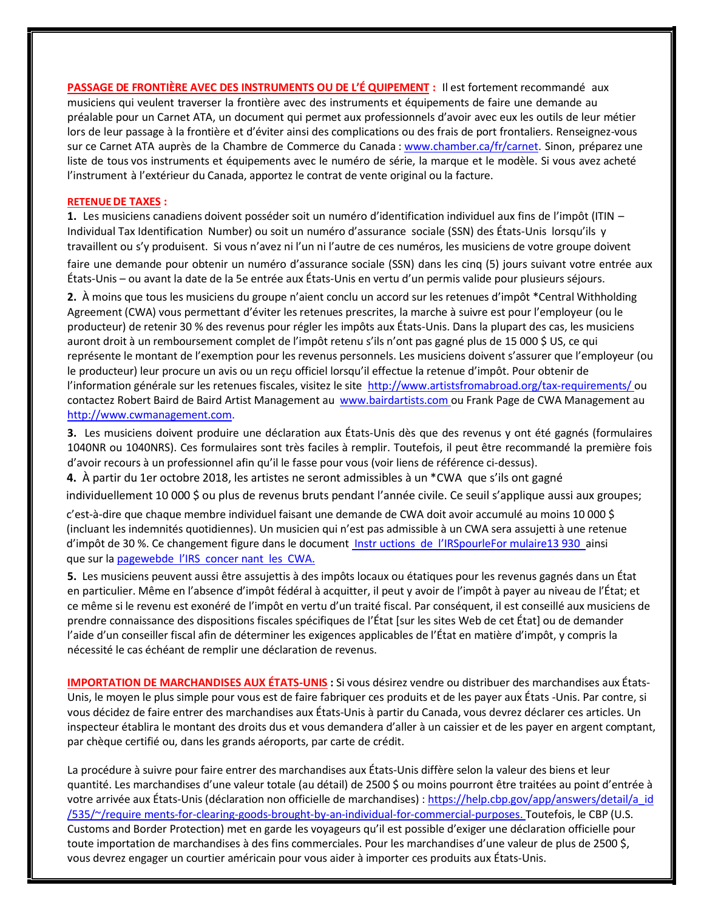**PASSAGE DE FRONTIÈRE AVEC DES INSTRUMENTS OU DE L'É QUIPEMENT :** Il est fortement recommandé aux musiciens qui veulent traverser la frontière avec des instruments et équipements de faire une demande au préalable pour un Carnet ATA, un document qui permet aux professionnels d'avoir avec eux les outils de leur métier lors de leur passage à la frontière et d'éviter ainsi des complications ou des frais de port frontaliers. Renseignez-vous sur ce Carnet ATA auprès de la Chambre de Commerce du Canada [: www.chamber.ca/fr/carnet.](http://www.chamber.ca/fr/carnet) Sinon, préparez une liste de tous vos instruments et équipements avec le numéro de série, la marque et le modèle. Si vous avez acheté l'instrument à l'extérieur du Canada, apportez le contrat de vente original ou la facture.

#### **RETENUEDE TAXES :**

**1.** Les musiciens canadiens doivent posséder soit un numéro d'identification individuel aux fins de l'impôt (ITIN – Individual Tax Identification Number) ou soit un numéro d'assurance sociale (SSN) des États-Unis lorsqu'ils y travaillent ou s'y produisent. Si vous n'avez ni l'un ni l'autre de ces numéros, les musiciens de votre groupe doivent

faire une demande pour obtenir un numéro d'assurance sociale (SSN) dans les cinq (5) jours suivant votre entrée aux États-Unis – ou avant la date de la 5e entrée aux États-Unis en vertu d'un permis valide pour plusieurs séjours.

**2.** À moins que tous les musiciens du groupe n'aient conclu un accord sur les retenues d'impôt \*Central Withholding Agreement (CWA) vous permettant d'éviter les retenues prescrites, la marche à suivre est pour l'employeur (ou le producteur) de retenir 30 % des revenus pour régler les impôts aux États-Unis. Dans la plupart des cas, les musiciens auront droit à un remboursement complet de l'impôt retenu s'ils n'ont pas gagné plus de 15 000 \$ US, ce qui représente le montant de l'exemption pour les revenus personnels. Les musiciens doivent s'assurer que l'employeur (ou le producteur) leur procure un avis ou un reçu officiel lorsqu'il effectue la retenue d'impôt. Pour obtenir de l'information générale sur les retenues fiscales, visitez le site [http://www.artistsfromabroad.org/tax-requirements/ o](http://www.artistsfromabroad.org/tax-requirements/)u contactez Robert Baird de Baird Artist Management au [www.bairdartists.com o](http://www.bairdartists.com/)u Frank Page de CWA Management au [http://www.cwmanagement.com.](http://www.cwmanagement.com/)

**3.** Les musiciens doivent produire une déclaration aux États-Unis dès que des revenus y ont été gagnés (formulaires 1040NR ou 1040NRS). Ces formulaires sont très faciles à remplir. Toutefois, il peut être recommandé la première fois d'avoir recours à un professionnel afin qu'il le fasse pour vous (voir liens de référence ci-dessus).

**4.** À partir du 1er octobre 2018, les artistes ne seront admissibles à un \*CWA que s'ils ont gagné

individuellement 10 000 \$ ou plus de revenus bruts pendant l'année civile. Ce seuil s'applique aussi aux groupes;

c'est-à-dire que chaque membre individuel faisant une demande de CWA doit avoir accumulé au moins 10 000 \$ (incluant les indemnités quotidiennes). Un musicien qui n'est pas admissible à un CWA sera assujetti à une retenue d'impôt de 30 %. Ce changement figure dans le document Instr uctions de l'IR[SpourleFor mulaire13](https://www.irs.gov/pub/irs-pdf/f13930.pdf) 930 ainsi que sur la [pagewebde](https://www.irs.gov/individuals/international-taxpayers/central-withholding-agreements) l'IRS concer nant les CWA.

**5.** Les musiciens peuvent aussi être assujettis à des impôts locaux ou étatiques pour les revenus gagnés dans un État en particulier. Même en l'absence d'impôt fédéral à acquitter, il peut y avoir de l'impôt à payer au niveau de l'État; et ce même si le revenu est exonéré de l'impôt en vertu d'un traité fiscal. Par conséquent, il est conseillé aux musiciens de prendre connaissance des dispositions fiscales spécifiques de l'État [sur les sites Web de cet État] ou de demander l'aide d'un conseiller fiscal afin de déterminer les exigences applicables de l'État en matière d'impôt, y compris la nécessité le cas échéant de remplir une déclaration de revenus.

**IMPORTATION DE MARCHANDISES AUX ÉTATS-UNIS :** Si vous désirez vendre ou distribuer des marchandises aux États-Unis, le moyen le plus simple pour vous est de faire fabriquer ces produits et de les payer aux États -Unis. Par contre, si vous décidez de faire entrer des marchandises aux États-Unis à partir du Canada, vous devrez déclarer ces articles. Un inspecteur établira le montant des droits dus et vous demandera d'aller à un caissier et de les payer en argent comptant, par chèque certifié ou, dansles grands aéroports, par carte de crédit.

La procédure à suivre pour faire entrer des marchandises aux États-Unis diffère selon la valeur des biens et leur quantité. Les marchandises d'une valeur totale (au détail) de 2500 \$ ou moins pourront être traitées au point d'entrée à votre arrivée aux États-Unis (déclaration non officielle de marchandises) : [https://help.cbp.gov/app/answers/detail/a\\_id](https://help.cbp.gov/app/answers/detail/a_id/535/~/require%0bments-for-clearing-goods-brought-by-an-individual-for-commercial-purposes) [/535/~/require](https://help.cbp.gov/app/answers/detail/a_id/535/~/require%0bments-for-clearing-goods-brought-by-an-individual-for-commercial-purposes) [ments-for-clearing-goods-brought-by-an-individual-for-commercial-purposes. T](https://help.cbp.gov/app/answers/detail/a_id/535/~/require%0bments-for-clearing-goods-brought-by-an-individual-for-commercial-purposes)outefois, le CBP (U.S. Customs and Border Protection) met en garde les voyageurs qu'il est possible d'exiger une déclaration officielle pour toute importation de marchandises à des fins commerciales. Pour les marchandises d'une valeur de plus de 2500 \$, vous devrez engager un courtier américain pour vous aider à importer ces produits aux États-Unis.